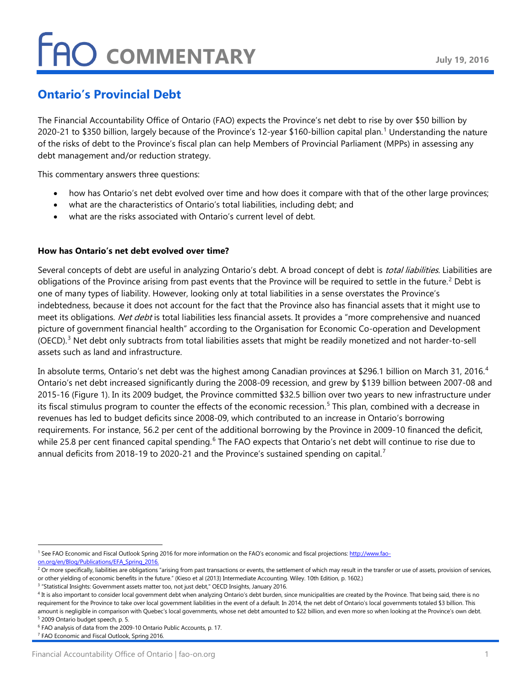### **Ontario's Provincial Debt**

The Financial Accountability Office of Ontario (FAO) expects the Province's net debt to rise by over \$50 billion by 2020-2[1](#page-0-0) to \$350 billion, largely because of the Province's 12-year \$160-billion capital plan.<sup>1</sup> Understanding the nature of the risks of debt to the Province's fiscal plan can help Members of Provincial Parliament (MPPs) in assessing any debt management and/or reduction strategy.

This commentary answers three questions:

- how has Ontario's net debt evolved over time and how does it compare with that of the other large provinces;
- what are the characteristics of Ontario's total liabilities, including debt; and
- what are the risks associated with Ontario's current level of debt.

#### **How has Ontario's net debt evolved over time?**

Several concepts of debt are useful in analyzing Ontario's debt. A broad concept of debt is *total liabilities*. Liabilities are obligations of the Province arising from past events that the Province will be required to settle in the future.<sup>[2](#page-0-1)</sup> Debt is one of many types of liability. However, looking only at total liabilities in a sense overstates the Province's indebtedness, because it does not account for the fact that the Province also has financial assets that it might use to meet its obligations. Net debt is total liabilities less financial assets. It provides a "more comprehensive and nuanced picture of government financial health" according to the Organisation for Economic Co-operation and Development (OECD).<sup>[3](#page-0-2)</sup> Net debt only subtracts from total liabilities assets that might be readily monetized and not harder-to-sell assets such as land and infrastructure.

In absolute terms, Ontario's net debt was the highest among Canadian provinces at \$296.1 billion on March 31, 2016.<sup>[4](#page-0-3)</sup> Ontario's net debt increased significantly during the 2008-09 recession, and grew by \$139 billion between 2007-08 and 2015-16 (Figure 1). In its 2009 budget, the Province committed \$32.5 billion over two years to new infrastructure under its fiscal stimulus program to counter the effects of the economic recession.<sup>[5](#page-0-4)</sup> This plan, combined with a decrease in revenues has led to budget deficits since 2008-09, which contributed to an increase in Ontario's borrowing requirements. For instance, 56.2 per cent of the additional borrowing by the Province in 2009-10 financed the deficit, while 25.8 per cent financed capital spending.<sup>[6](#page-0-5)</sup> The FAO expects that Ontario's net debt will continue to rise due to annual deficits from 2018-19 to 2020-21 and the Province's sustained spending on capital.<sup>[7](#page-0-6)</sup>

<span id="page-0-0"></span><sup>&</sup>lt;sup>1</sup> See FAO Economic and Fiscal Outlook Spring 2016 for more information on the FAO's economic and fiscal projections[: http://www.fao](http://www.fao-on.org/en/Blog/Publications/EFA_Spring_2016)[on.org/en/Blog/Publications/EFA\\_Spring\\_2016.](http://www.fao-on.org/en/Blog/Publications/EFA_Spring_2016)

<span id="page-0-1"></span><sup>&</sup>lt;sup>2</sup> Or more specifically, liabilities are obligations "arising from past transactions or events, the settlement of which may result in the transfer or use of assets, provision of services, or other yielding of economic benefits in the future." (Kieso et al (2013) Intermediate Accounting. Wiley. 10th Edition, p. 1602.)

<span id="page-0-2"></span><sup>&</sup>lt;sup>3</sup> "Statistical Insights: Government assets matter too, not just debt," OECD Insights, January 2016.

<span id="page-0-3"></span><sup>4</sup> It is also important to consider local government debt when analyzing Ontario's debt burden, since municipalities are created by the Province. That being said, there is no requirement for the Province to take over local government liabilities in the event of a default. In 2014, the net debt of Ontario's local governments totaled \$3 billion. This amount is negligible in comparison with Quebec's local governments, whose net debt amounted to \$22 billion, and even more so when looking at the Province's own debt.

<span id="page-0-4"></span><sup>5</sup> 2009 Ontario budget speech, p. 5. <sup>6</sup> FAO analysis of data from the 2009-10 Ontario Public Accounts, p. 17.

<span id="page-0-6"></span><span id="page-0-5"></span><sup>&</sup>lt;sup>7</sup> FAO Economic and Fiscal Outlook, Spring 2016.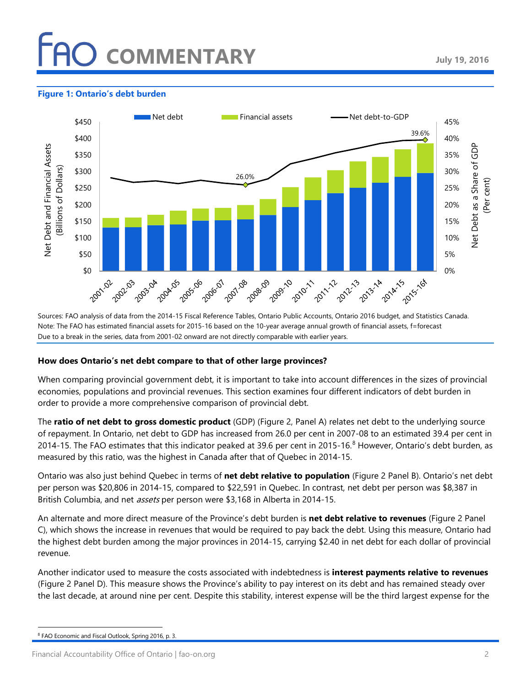## **COMMENTARY**

#### **Figure 1: Ontario's debt burden**



Sources: FAO analysis of data from the 2014-15 Fiscal Reference Tables, Ontario Public Accounts, Ontario 2016 budget, and Statistics Canada. Note: The FAO has estimated financial assets for 2015-16 based on the 10-year average annual growth of financial assets, f=forecast Due to a break in the series, data from 2001-02 onward are not directly comparable with earlier years.

#### **How does Ontario's net debt compare to that of other large provinces?**

When comparing provincial government debt, it is important to take into account differences in the sizes of provincial economies, populations and provincial revenues. This section examines four different indicators of debt burden in order to provide a more comprehensive comparison of provincial debt.

The **ratio of net debt to gross domestic product** (GDP) (Figure 2, Panel A) relates net debt to the underlying source of repayment. In Ontario, net debt to GDP has increased from 26.0 per cent in 2007-08 to an estimated 39.4 per cent in 2014-15. The FAO estimates that this indicator peaked at 39.6 per cent in 2015-16. $8$  However, Ontario's debt burden, as measured by this ratio, was the highest in Canada after that of Quebec in 2014-15.

Ontario was also just behind Quebec in terms of **net debt relative to population** (Figure 2 Panel B). Ontario's net debt per person was \$20,806 in 2014-15, compared to \$22,591 in Quebec. In contrast, net debt per person was \$8,387 in British Columbia, and net *assets* per person were \$3,168 in Alberta in 2014-15.

An alternate and more direct measure of the Province's debt burden is **net debt relative to revenues** (Figure 2 Panel C), which shows the increase in revenues that would be required to pay back the debt. Using this measure, Ontario had the highest debt burden among the major provinces in 2014-15, carrying \$2.40 in net debt for each dollar of provincial revenue.

Another indicator used to measure the costs associated with indebtedness is **interest payments relative to revenues** (Figure 2 Panel D). This measure shows the Province's ability to pay interest on its debt and has remained steady over the last decade, at around nine per cent. Despite this stability, interest expense will be the third largest expense for the

<span id="page-1-0"></span> <sup>8</sup> FAO Economic and Fiscal Outlook, Spring 2016, p. 3.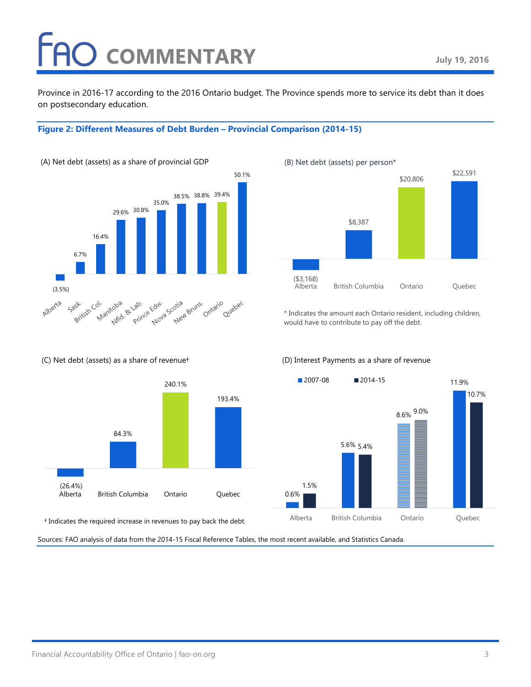## **COMMENTARY**

Province in 2016-17 according to the 2016 Ontario budget. The Province spends more to service its debt than it does on postsecondary education.

#### **Figure 2: Different Measures of Debt Burden – Provincial Comparison (2014-15)**



#### (C) Net debt (assets) as a share of revenue†



† Indicates the required increase in revenues to pay back the debt.

Sources: FAO analysis of data from the 2014-15 Fiscal Reference Tables, the most recent available, and Statistics Canada.



\* Indicates the amount each Ontario resident, including children, would have to contribute to pay off the debt.

#### (D) Interest Payments as a share of revenue

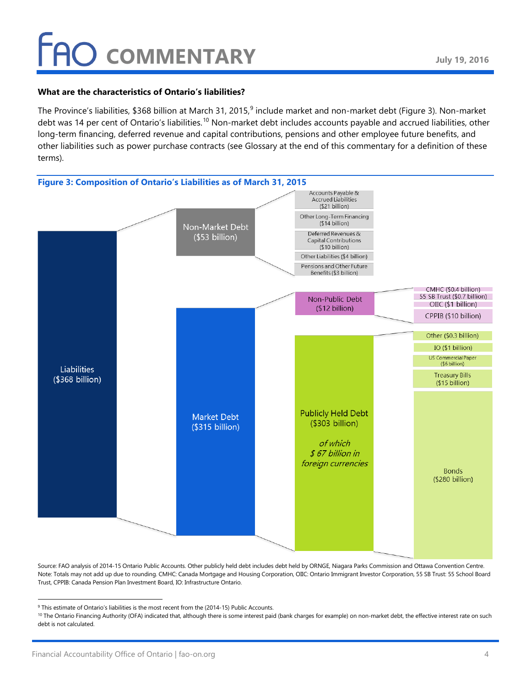#### **What are the characteristics of Ontario's liabilities?**

The Province's liabilities, \$368 billion at March 31, 2015,<sup>[9](#page-3-0)</sup> include market and non-market debt (Figure 3). Non-market debt was 14 per cent of Ontario's liabilities.<sup>[10](#page-3-1)</sup> Non-market debt includes accounts payable and accrued liabilities, other long-term financing, deferred revenue and capital contributions, pensions and other employee future benefits, and other liabilities such as power purchase contracts (see Glossary at the end of this commentary for a definition of these terms).



Source: FAO analysis of 2014-15 Ontario Public Accounts. Other publicly held debt includes debt held by ORNGE, Niagara Parks Commission and Ottawa Convention Centre. Note: Totals may not add up due to rounding. CMHC: Canada Mortgage and Housing Corporation, OIIC: Ontario Immigrant Investor Corporation, 55 SB Trust: 55 School Board Trust, CPPIB: Canada Pension Plan Investment Board, IO: Infrastructure Ontario.

<span id="page-3-0"></span> $9$  This estimate of Ontario's liabilities is the most recent from the (2014-15) Public Accounts.

<span id="page-3-1"></span><sup>&</sup>lt;sup>10</sup> The Ontario Financing Authority (OFA) indicated that, although there is some interest paid (bank charges for example) on non-market debt, the effective interest rate on such debt is not calculated.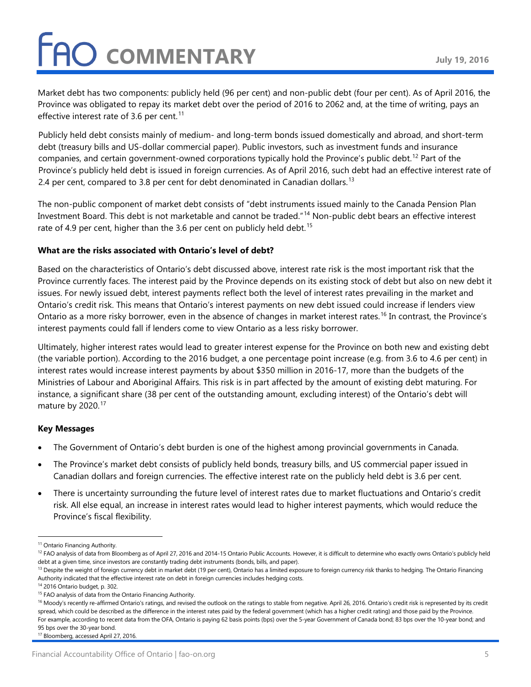Market debt has two components: publicly held (96 per cent) and non-public debt (four per cent). As of April 2016, the Province was obligated to repay its market debt over the period of 2016 to 2062 and, at the time of writing, pays an effective interest rate of 3.6 per cent.<sup>[11](#page-4-0)</sup>

Publicly held debt consists mainly of medium- and long-term bonds issued domestically and abroad, and short-term debt (treasury bills and US-dollar commercial paper). Public investors, such as investment funds and insurance companies, and certain government-owned corporations typically hold the Province's public debt.<sup>[12](#page-4-1)</sup> Part of the Province's publicly held debt is issued in foreign currencies. As of April 2016, such debt had an effective interest rate of 2.4 per cent, compared to 3.8 per cent for debt denominated in Canadian dollars.  $^{\text{13}}$  $^{\text{13}}$  $^{\text{13}}$ 

The non-public component of market debt consists of "debt instruments issued mainly to the Canada Pension Plan Investment Board. This debt is not marketable and cannot be traded."[14](#page-4-3) Non-public debt bears an effective interest rate of 4.9 per cent, higher than the 3.6 per cent on publicly held debt.<sup>[15](#page-4-4)</sup>

#### **What are the risks associated with Ontario's level of debt?**

Based on the characteristics of Ontario's debt discussed above, interest rate risk is the most important risk that the Province currently faces. The interest paid by the Province depends on its existing stock of debt but also on new debt it issues. For newly issued debt, interest payments reflect both the level of interest rates prevailing in the market and Ontario's credit risk. This means that Ontario's interest payments on new debt issued could increase if lenders view Ontario as a more risky borrower, even in the absence of changes in market interest rates.<sup>[16](#page-4-5)</sup> In contrast, the Province's interest payments could fall if lenders come to view Ontario as a less risky borrower.

Ultimately, higher interest rates would lead to greater interest expense for the Province on both new and existing debt (the variable portion). According to the 2016 budget, a one percentage point increase (e.g. from 3.6 to 4.6 per cent) in interest rates would increase interest payments by about \$350 million in 2016-17, more than the budgets of the Ministries of Labour and Aboriginal Affairs. This risk is in part affected by the amount of existing debt maturing. For instance, a significant share (38 per cent of the outstanding amount, excluding interest) of the Ontario's debt will mature by 2020.<sup>[17](#page-4-6)</sup>

#### **Key Messages**

- The Government of Ontario's debt burden is one of the highest among provincial governments in Canada.
- The Province's market debt consists of publicly held bonds, treasury bills, and US commercial paper issued in Canadian dollars and foreign currencies. The effective interest rate on the publicly held debt is 3.6 per cent.
- There is uncertainty surrounding the future level of interest rates due to market fluctuations and Ontario's credit risk. All else equal, an increase in interest rates would lead to higher interest payments, which would reduce the Province's fiscal flexibility.

<span id="page-4-0"></span><sup>&</sup>lt;sup>11</sup> Ontario Financing Authority.

<span id="page-4-1"></span><sup>&</sup>lt;sup>12</sup> FAO analysis of data from Bloomberg as of April 27, 2016 and 2014-15 Ontario Public Accounts. However, it is difficult to determine who exactly owns Ontario's publicly held debt at a given time, since investors are constantly trading debt instruments (bonds, bills, and paper).

<span id="page-4-2"></span><sup>&</sup>lt;sup>13</sup> Despite the weight of foreign currency debt in market debt (19 per cent), Ontario has a limited exposure to foreign currency risk thanks to hedging. The Ontario Financing Authority indicated that the effective interest rate on debt in foreign currencies includes hedging costs.

<span id="page-4-3"></span><sup>14</sup> 2016 Ontario budget, p. 302.

<span id="page-4-4"></span><sup>&</sup>lt;sup>15</sup> FAO analysis of data from the Ontario Financing Authority.

<span id="page-4-5"></span><sup>&</sup>lt;sup>16</sup> Moody's recently re-affirmed Ontario's ratings, and revised the outlook on the ratings to stable from negative. April 26, 2016. Ontario's credit risk is represented by its credit spread, which could be described as the difference in the interest rates paid by the federal government (which has a higher credit rating) and those paid by the Province. For example, according to recent data from the OFA, Ontario is paying 62 basis points (bps) over the 5-year Government of Canada bond; 83 bps over the 10-year bond; and 95 bps over the 30-year bond.

<span id="page-4-6"></span><sup>&</sup>lt;sup>17</sup> Bloomberg, accessed April 27, 2016.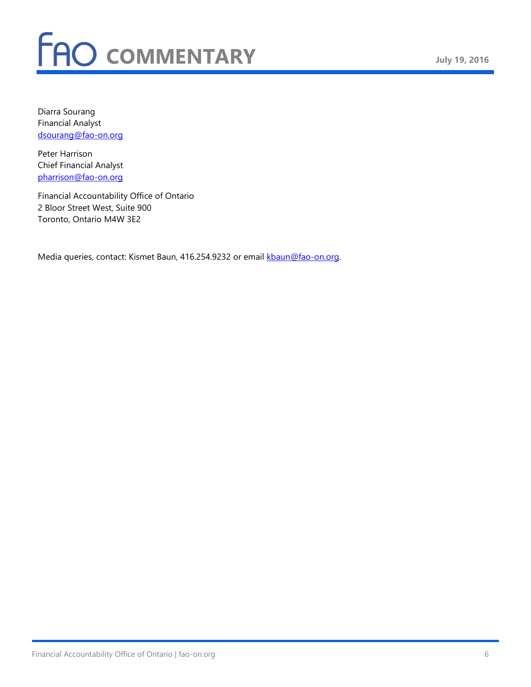Diarra Sourang Financial Analyst [dsourang@fao-on.org](mailto:dsourang@fao-on.org) 

Peter Harrison Chief Financial Analyst [pharrison@fao-on.org](mailto:pharrison@fao-on.org)

Financial Accountability Office of Ontario 2 Bloor Street West, Suite 900 Toronto, Ontario M4W 3E2

Media queries, contact: Kismet Baun, 416.254.9232 or email [kbaun@fao-on.org.](mailto:kbaun@fao-on.org)